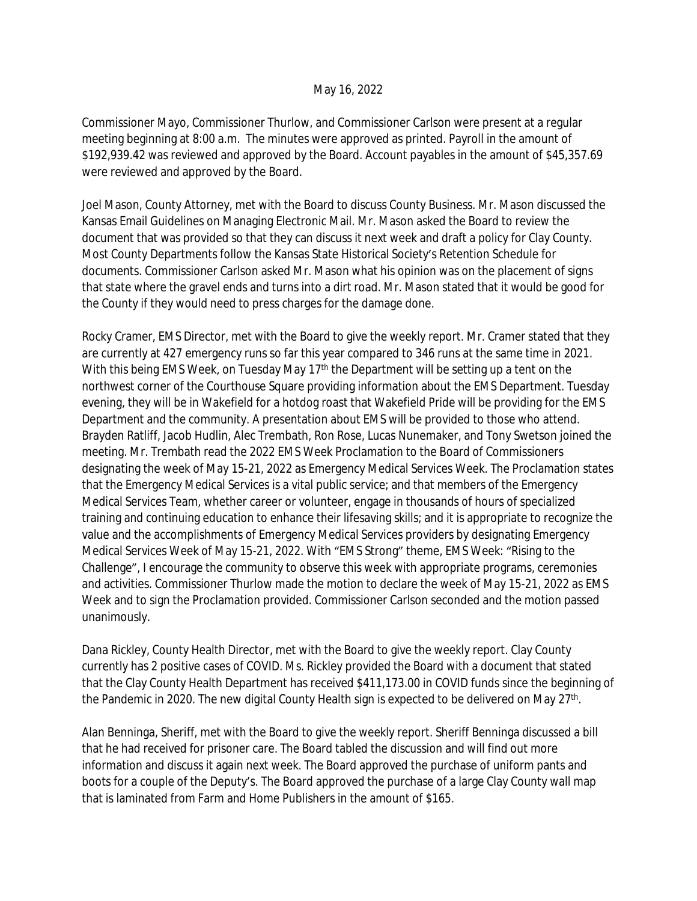## May 16, 2022

Commissioner Mayo, Commissioner Thurlow, and Commissioner Carlson were present at a regular meeting beginning at 8:00 a.m. The minutes were approved as printed. Payroll in the amount of \$192,939.42 was reviewed and approved by the Board. Account payables in the amount of \$45,357.69 were reviewed and approved by the Board.

Joel Mason, County Attorney, met with the Board to discuss County Business. Mr. Mason discussed the Kansas Email Guidelines on Managing Electronic Mail. Mr. Mason asked the Board to review the document that was provided so that they can discuss it next week and draft a policy for Clay County. Most County Departments follow the Kansas State Historical Society's Retention Schedule for documents. Commissioner Carlson asked Mr. Mason what his opinion was on the placement of signs that state where the gravel ends and turns into a dirt road. Mr. Mason stated that it would be good for the County if they would need to press charges for the damage done.

Rocky Cramer, EMS Director, met with the Board to give the weekly report. Mr. Cramer stated that they are currently at 427 emergency runs so far this year compared to 346 runs at the same time in 2021. With this being EMS Week, on Tuesday May 17<sup>th</sup> the Department will be setting up a tent on the northwest corner of the Courthouse Square providing information about the EMS Department. Tuesday evening, they will be in Wakefield for a hotdog roast that Wakefield Pride will be providing for the EMS Department and the community. A presentation about EMS will be provided to those who attend. Brayden Ratliff, Jacob Hudlin, Alec Trembath, Ron Rose, Lucas Nunemaker, and Tony Swetson joined the meeting. Mr. Trembath read the 2022 EMS Week Proclamation to the Board of Commissioners designating the week of May 15-21, 2022 as Emergency Medical Services Week. The Proclamation states that the Emergency Medical Services is a vital public service; and that members of the Emergency Medical Services Team, whether career or volunteer, engage in thousands of hours of specialized training and continuing education to enhance their lifesaving skills; and it is appropriate to recognize the value and the accomplishments of Emergency Medical Services providers by designating Emergency Medical Services Week of May 15-21, 2022. With "EMS Strong" theme, EMS Week: "Rising to the Challenge", I encourage the community to observe this week with appropriate programs, ceremonies and activities. Commissioner Thurlow made the motion to declare the week of May 15-21, 2022 as EMS Week and to sign the Proclamation provided. Commissioner Carlson seconded and the motion passed unanimously.

Dana Rickley, County Health Director, met with the Board to give the weekly report. Clay County currently has 2 positive cases of COVID. Ms. Rickley provided the Board with a document that stated that the Clay County Health Department has received \$411,173.00 in COVID funds since the beginning of the Pandemic in 2020. The new digital County Health sign is expected to be delivered on May 27<sup>th</sup>.

Alan Benninga, Sheriff, met with the Board to give the weekly report. Sheriff Benninga discussed a bill that he had received for prisoner care. The Board tabled the discussion and will find out more information and discuss it again next week. The Board approved the purchase of uniform pants and boots for a couple of the Deputy's. The Board approved the purchase of a large Clay County wall map that is laminated from Farm and Home Publishers in the amount of \$165.